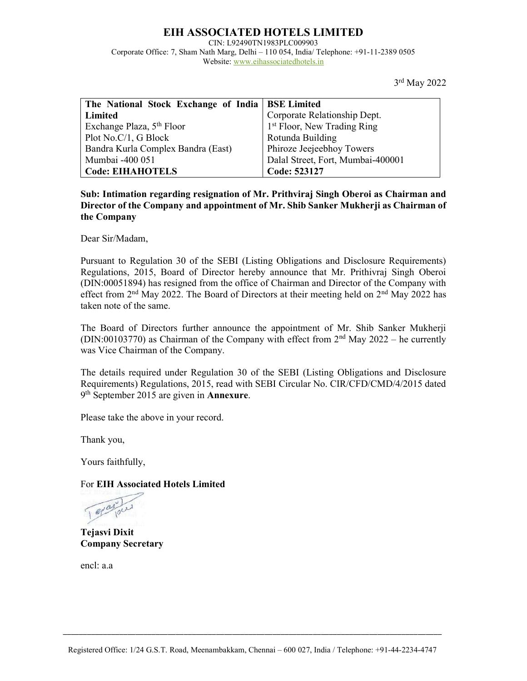# EIH ASSOCIATED HOTELS LIMITED

CIN: L92490TN1983PLC009903

Corporate Office: 7, Sham Nath Marg, Delhi – 110 054, India/ Telephone: +91-11-2389 0505 Website: www.eihassociatedhotels.in

3rd May 2022

| The National Stock Exchange of India   BSE Limited |                                         |
|----------------------------------------------------|-----------------------------------------|
| Limited                                            | Corporate Relationship Dept.            |
| Exchange Plaza, 5 <sup>th</sup> Floor              | 1 <sup>st</sup> Floor, New Trading Ring |
| Plot No.C/1, G Block                               | Rotunda Building                        |
| Bandra Kurla Complex Bandra (East)                 | Phiroze Jeejeebhoy Towers               |
| Mumbai -400 051                                    | Dalal Street, Fort, Mumbai-400001       |
| <b>Code: EIHAHOTELS</b>                            | Code: 523127                            |

Sub: Intimation regarding resignation of Mr. Prithviraj Singh Oberoi as Chairman and Director of the Company and appointment of Mr. Shib Sanker Mukherji as Chairman of the Company

Dear Sir/Madam,

Pursuant to Regulation 30 of the SEBI (Listing Obligations and Disclosure Requirements) Regulations, 2015, Board of Director hereby announce that Mr. Prithivraj Singh Oberoi (DIN:00051894) has resigned from the office of Chairman and Director of the Company with effect from  $2<sup>nd</sup>$  May 2022. The Board of Directors at their meeting held on  $2<sup>nd</sup>$  May 2022 has taken note of the same.

The Board of Directors further announce the appointment of Mr. Shib Sanker Mukherji (DIN:00103770) as Chairman of the Company with effect from  $2<sup>nd</sup>$  May 2022 – he currently was Vice Chairman of the Company.

The details required under Regulation 30 of the SEBI (Listing Obligations and Disclosure Requirements) Regulations, 2015, read with SEBI Circular No. CIR/CFD/CMD/4/2015 dated 9<sup>th</sup> September 2015 are given in **Annexure**.

Please take the above in your record.

Thank you,

Yours faithfully,

For EIH Associated Hotels Limited

Paris

Tejasvi Dixit Company Secretary

encl: a.a

\_\_\_\_\_\_\_\_\_\_\_\_\_\_\_\_\_\_\_\_\_\_\_\_\_\_\_\_\_\_\_\_\_\_\_\_\_\_\_\_\_\_\_\_\_\_\_\_\_\_\_\_\_\_\_\_\_\_\_\_\_\_\_\_\_\_\_\_\_\_\_\_\_\_\_\_\_\_\_\_\_\_\_\_\_\_\_\_\_\_\_\_\_\_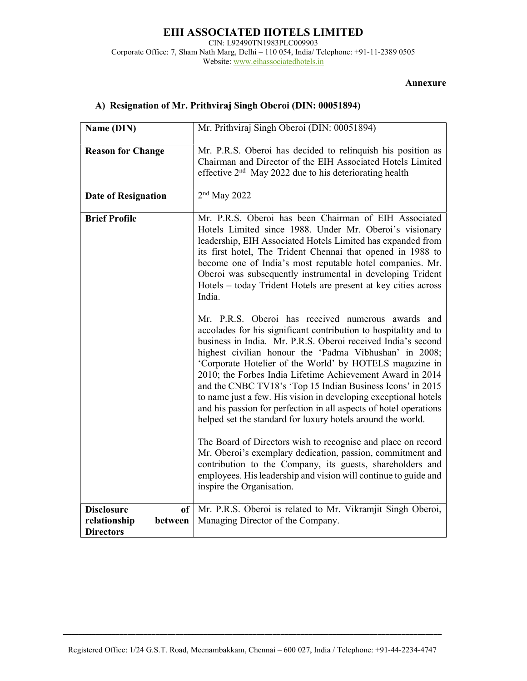#### EIH ASSOCIATED HOTELS LIMITED CIN: L92490TN1983PLC009903 Corporate Office: 7, Sham Nath Marg, Delhi – 110 054, India/ Telephone: +91-11-2389 0505 Website: www.eihassociatedhotels.in

#### Annexure

| Name (DIN)                                                             | Mr. Prithviraj Singh Oberoi (DIN: 00051894)                                                                                                                                                                                                                                                                                                                                                                                                                                                                                                                                                                                                                                                                                                                                                                                                                                                                                                                                                                                                                                                                                                                                                                                                                                                                                                                                                       |
|------------------------------------------------------------------------|---------------------------------------------------------------------------------------------------------------------------------------------------------------------------------------------------------------------------------------------------------------------------------------------------------------------------------------------------------------------------------------------------------------------------------------------------------------------------------------------------------------------------------------------------------------------------------------------------------------------------------------------------------------------------------------------------------------------------------------------------------------------------------------------------------------------------------------------------------------------------------------------------------------------------------------------------------------------------------------------------------------------------------------------------------------------------------------------------------------------------------------------------------------------------------------------------------------------------------------------------------------------------------------------------------------------------------------------------------------------------------------------------|
| <b>Reason for Change</b>                                               | Mr. P.R.S. Oberoi has decided to relinquish his position as<br>Chairman and Director of the EIH Associated Hotels Limited<br>effective $2nd$ May 2022 due to his deteriorating health                                                                                                                                                                                                                                                                                                                                                                                                                                                                                                                                                                                                                                                                                                                                                                                                                                                                                                                                                                                                                                                                                                                                                                                                             |
| <b>Date of Resignation</b>                                             | $2nd$ May 2022                                                                                                                                                                                                                                                                                                                                                                                                                                                                                                                                                                                                                                                                                                                                                                                                                                                                                                                                                                                                                                                                                                                                                                                                                                                                                                                                                                                    |
| <b>Brief Profile</b>                                                   | Mr. P.R.S. Oberoi has been Chairman of EIH Associated<br>Hotels Limited since 1988. Under Mr. Oberoi's visionary<br>leadership, EIH Associated Hotels Limited has expanded from<br>its first hotel, The Trident Chennai that opened in 1988 to<br>become one of India's most reputable hotel companies. Mr.<br>Oberoi was subsequently instrumental in developing Trident<br>Hotels - today Trident Hotels are present at key cities across<br>India.<br>Mr. P.R.S. Oberoi has received numerous awards and<br>accolades for his significant contribution to hospitality and to<br>business in India. Mr. P.R.S. Oberoi received India's second<br>highest civilian honour the 'Padma Vibhushan' in 2008;<br>'Corporate Hotelier of the World' by HOTELS magazine in<br>2010; the Forbes India Lifetime Achievement Award in 2014<br>and the CNBC TV18's 'Top 15 Indian Business Icons' in 2015<br>to name just a few. His vision in developing exceptional hotels<br>and his passion for perfection in all aspects of hotel operations<br>helped set the standard for luxury hotels around the world.<br>The Board of Directors wish to recognise and place on record<br>Mr. Oberoi's exemplary dedication, passion, commitment and<br>contribution to the Company, its guests, shareholders and<br>employees. His leadership and vision will continue to guide and<br>inspire the Organisation. |
| <b>Disclosure</b><br>of<br>relationship<br>between<br><b>Directors</b> | Mr. P.R.S. Oberoi is related to Mr. Vikramjit Singh Oberoi,<br>Managing Director of the Company.                                                                                                                                                                                                                                                                                                                                                                                                                                                                                                                                                                                                                                                                                                                                                                                                                                                                                                                                                                                                                                                                                                                                                                                                                                                                                                  |

## A) Resignation of Mr. Prithviraj Singh Oberoi (DIN: 00051894)

\_\_\_\_\_\_\_\_\_\_\_\_\_\_\_\_\_\_\_\_\_\_\_\_\_\_\_\_\_\_\_\_\_\_\_\_\_\_\_\_\_\_\_\_\_\_\_\_\_\_\_\_\_\_\_\_\_\_\_\_\_\_\_\_\_\_\_\_\_\_\_\_\_\_\_\_\_\_\_\_\_\_\_\_\_\_\_\_\_\_\_\_\_\_